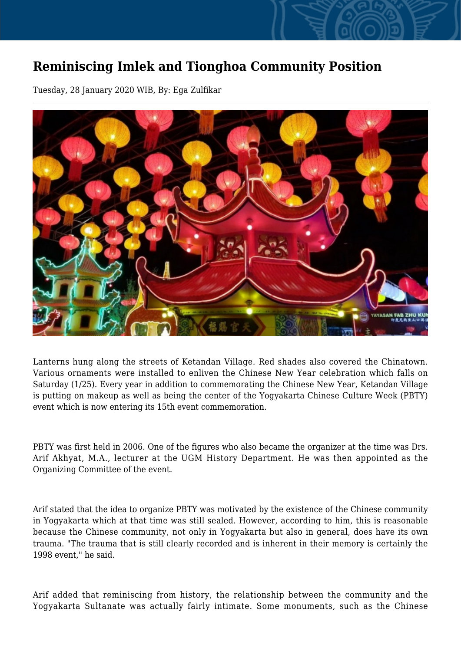## **Reminiscing Imlek and Tionghoa Community Position**

Tuesday, 28 January 2020 WIB, By: Ega Zulfikar



Lanterns hung along the streets of Ketandan Village. Red shades also covered the Chinatown. Various ornaments were installed to enliven the Chinese New Year celebration which falls on Saturday (1/25). Every year in addition to commemorating the Chinese New Year, Ketandan Village is putting on makeup as well as being the center of the Yogyakarta Chinese Culture Week (PBTY) event which is now entering its 15th event commemoration.

PBTY was first held in 2006. One of the figures who also became the organizer at the time was Drs. Arif Akhyat, M.A., lecturer at the UGM History Department. He was then appointed as the Organizing Committee of the event.

Arif stated that the idea to organize PBTY was motivated by the existence of the Chinese community in Yogyakarta which at that time was still sealed. However, according to him, this is reasonable because the Chinese community, not only in Yogyakarta but also in general, does have its own trauma. "The trauma that is still clearly recorded and is inherent in their memory is certainly the 1998 event," he said.

Arif added that reminiscing from history, the relationship between the community and the Yogyakarta Sultanate was actually fairly intimate. Some monuments, such as the Chinese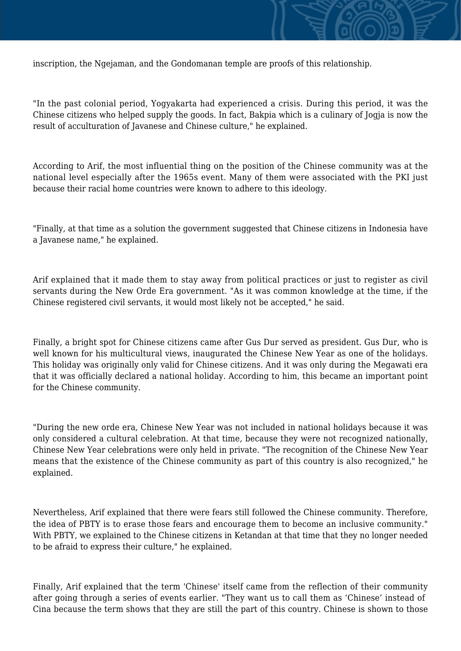

"In the past colonial period, Yogyakarta had experienced a crisis. During this period, it was the Chinese citizens who helped supply the goods. In fact, Bakpia which is a culinary of Jogja is now the result of acculturation of Javanese and Chinese culture," he explained.

According to Arif, the most influential thing on the position of the Chinese community was at the national level especially after the 1965s event. Many of them were associated with the PKI just because their racial home countries were known to adhere to this ideology.

"Finally, at that time as a solution the government suggested that Chinese citizens in Indonesia have a Javanese name," he explained.

Arif explained that it made them to stay away from political practices or just to register as civil servants during the New Orde Era government. "As it was common knowledge at the time, if the Chinese registered civil servants, it would most likely not be accepted," he said.

Finally, a bright spot for Chinese citizens came after Gus Dur served as president. Gus Dur, who is well known for his multicultural views, inaugurated the Chinese New Year as one of the holidays. This holiday was originally only valid for Chinese citizens. And it was only during the Megawati era that it was officially declared a national holiday. According to him, this became an important point for the Chinese community.

"During the new orde era, Chinese New Year was not included in national holidays because it was only considered a cultural celebration. At that time, because they were not recognized nationally, Chinese New Year celebrations were only held in private. "The recognition of the Chinese New Year means that the existence of the Chinese community as part of this country is also recognized," he explained.

Nevertheless, Arif explained that there were fears still followed the Chinese community. Therefore, the idea of PBTY is to erase those fears and encourage them to become an inclusive community." With PBTY, we explained to the Chinese citizens in Ketandan at that time that they no longer needed to be afraid to express their culture," he explained.

Finally, Arif explained that the term 'Chinese' itself came from the reflection of their community after going through a series of events earlier. "They want us to call them as 'Chinese' instead of Cina because the term shows that they are still the part of this country. Chinese is shown to those